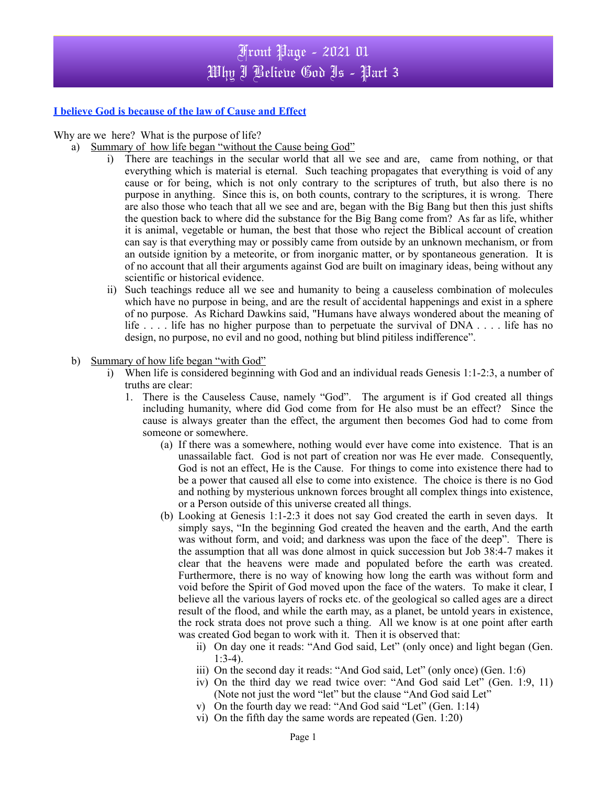# Front Page - 2021 01 Why I Believe God Is - Part 3

### **I believe God is because of the law of Cause and Effect**

Why are we here? What is the purpose of life?

- a) Summary of how life began "without the Cause being God"
	- i) There are teachings in the secular world that all we see and are, came from nothing, or that everything which is material is eternal. Such teaching propagates that everything is void of any cause or for being, which is not only contrary to the scriptures of truth, but also there is no purpose in anything. Since this is, on both counts, contrary to the scriptures, it is wrong. There are also those who teach that all we see and are, began with the Big Bang but then this just shifts the question back to where did the substance for the Big Bang come from? As far as life, whither it is animal, vegetable or human, the best that those who reject the Biblical account of creation can say is that everything may or possibly came from outside by an unknown mechanism, or from an outside ignition by a meteorite, or from inorganic matter, or by spontaneous generation. It is of no account that all their arguments against God are built on imaginary ideas, being without any scientific or historical evidence.
	- ii) Such teachings reduce all we see and humanity to being a causeless combination of molecules which have no purpose in being, and are the result of accidental happenings and exist in a sphere of no purpose. As Richard Dawkins said, "Humans have always wondered about the meaning of life . . . . life has no higher purpose than to perpetuate the survival of DNA . . . . life has no design, no purpose, no evil and no good, nothing but blind pitiless indifference".
- b) Summary of how life began "with God"
	- i) When life is considered beginning with God and an individual reads Genesis 1:1-2:3, a number of truths are clear:
		- 1. There is the Causeless Cause, namely "God". The argument is if God created all things including humanity, where did God come from for He also must be an effect? Since the cause is always greater than the effect, the argument then becomes God had to come from someone or somewhere.
			- (a) If there was a somewhere, nothing would ever have come into existence. That is an unassailable fact. God is not part of creation nor was He ever made. Consequently, God is not an effect, He is the Cause. For things to come into existence there had to be a power that caused all else to come into existence. The choice is there is no God and nothing by mysterious unknown forces brought all complex things into existence, or a Person outside of this universe created all things.
			- (b) Looking at Genesis 1:1-2:3 it does not say God created the earth in seven days. It simply says, "In the beginning God created the heaven and the earth, And the earth was without form, and void; and darkness was upon the face of the deep". There is the assumption that all was done almost in quick succession but Job 38:4-7 makes it clear that the heavens were made and populated before the earth was created. Furthermore, there is no way of knowing how long the earth was without form and void before the Spirit of God moved upon the face of the waters. To make it clear, I believe all the various layers of rocks etc. of the geological so called ages are a direct result of the flood, and while the earth may, as a planet, be untold years in existence, the rock strata does not prove such a thing. All we know is at one point after earth was created God began to work with it. Then it is observed that:
				- ii) On day one it reads: "And God said, Let" (only once) and light began (Gen.  $1:3-4$ ).
				- iii) On the second day it reads: "And God said, Let" (only once) (Gen. 1:6)
				- iv) On the third day we read twice over: "And God said Let" (Gen. 1:9, 11) (Note not just the word "let" but the clause "And God said Let"
				- v) On the fourth day we read: "And God said "Let" (Gen. 1:14)
				- vi) On the fifth day the same words are repeated (Gen. 1:20)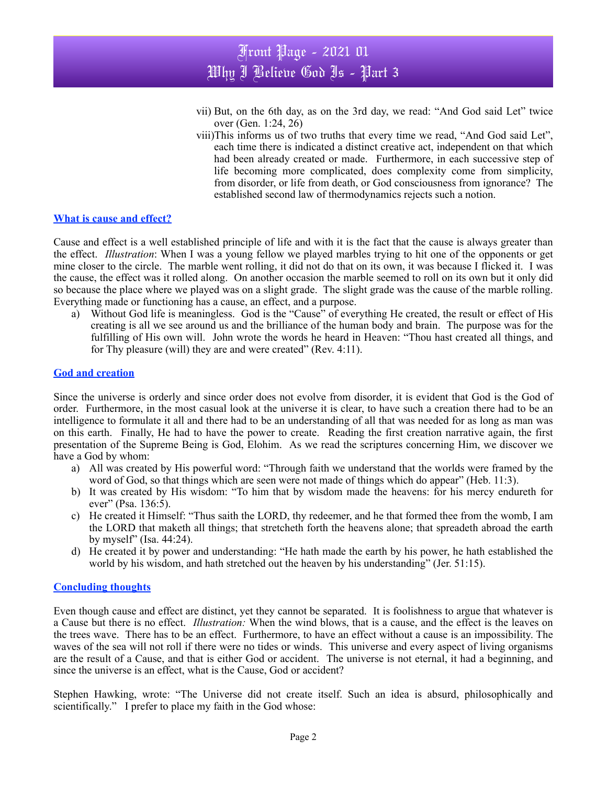- vii) But, on the 6th day, as on the 3rd day, we read: "And God said Let" twice over (Gen. 1:24, 26)
- viii)This informs us of two truths that every time we read, "And God said Let", each time there is indicated a distinct creative act, independent on that which had been already created or made. Furthermore, in each successive step of life becoming more complicated, does complexity come from simplicity, from disorder, or life from death, or God consciousness from ignorance? The established second law of thermodynamics rejects such a notion.

#### **What is cause and effect?**

Cause and effect is a well established principle of life and with it is the fact that the cause is always greater than the effect. *Illustration*: When I was a young fellow we played marbles trying to hit one of the opponents or get mine closer to the circle. The marble went rolling, it did not do that on its own, it was because I flicked it. I was the cause, the effect was it rolled along. On another occasion the marble seemed to roll on its own but it only did so because the place where we played was on a slight grade. The slight grade was the cause of the marble rolling. Everything made or functioning has a cause, an effect, and a purpose.

a) Without God life is meaningless. God is the "Cause" of everything He created, the result or effect of His creating is all we see around us and the brilliance of the human body and brain. The purpose was for the fulfilling of His own will. John wrote the words he heard in Heaven: "Thou hast created all things, and for Thy pleasure (will) they are and were created" (Rev. 4:11).

#### **God and creation**

Since the universe is orderly and since order does not evolve from disorder, it is evident that God is the God of order. Furthermore, in the most casual look at the universe it is clear, to have such a creation there had to be an intelligence to formulate it all and there had to be an understanding of all that was needed for as long as man was on this earth. Finally, He had to have the power to create. Reading the first creation narrative again, the first presentation of the Supreme Being is God, Elohim. As we read the scriptures concerning Him, we discover we have a God by whom:

- a) All was created by His powerful word: "Through faith we understand that the worlds were framed by the word of God, so that things which are seen were not made of things which do appear" (Heb. 11:3).
- b) It was created by His wisdom: "To him that by wisdom made the heavens: for his mercy endureth for ever" (Psa. 136:5).
- c) He created it Himself: "Thus saith the LORD, thy redeemer, and he that formed thee from the womb, I am the LORD that maketh all things; that stretcheth forth the heavens alone; that spreadeth abroad the earth by myself" (Isa. 44:24).
- d) He created it by power and understanding: "He hath made the earth by his power, he hath established the world by his wisdom, and hath stretched out the heaven by his understanding" (Jer. 51:15).

#### **Concluding thoughts**

Even though cause and effect are distinct, yet they cannot be separated. It is foolishness to argue that whatever is a Cause but there is no effect. *Illustration:* When the wind blows, that is a cause, and the effect is the leaves on the trees wave. There has to be an effect. Furthermore, to have an effect without a cause is an impossibility. The waves of the sea will not roll if there were no tides or winds. This universe and every aspect of living organisms are the result of a Cause, and that is either God or accident. The universe is not eternal, it had a beginning, and since the universe is an effect, what is the Cause, God or accident?

Stephen Hawking, wrote: "The Universe did not create itself. Such an idea is absurd, philosophically and scientifically." I prefer to place my faith in the God whose: